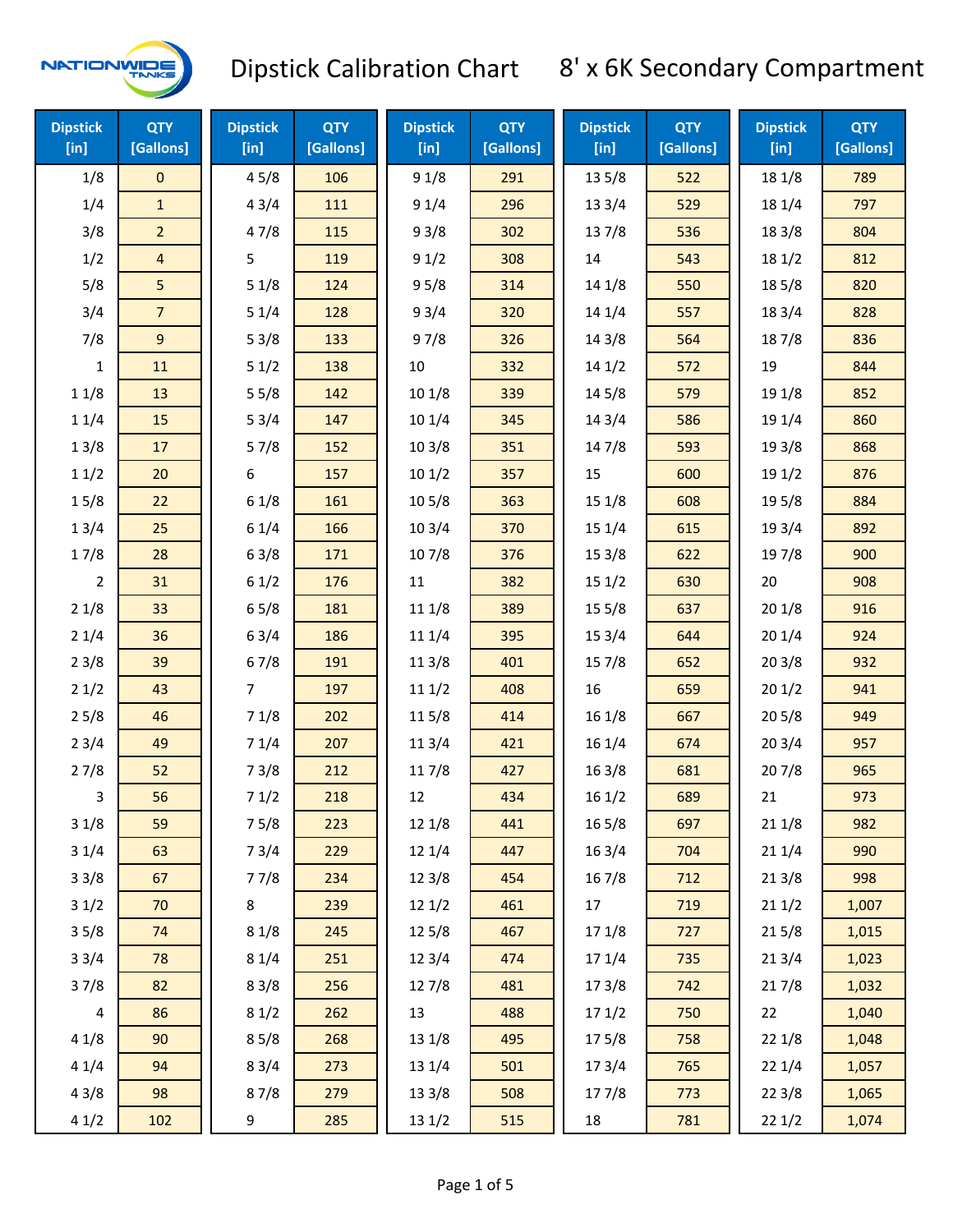

| <b>Dipstick</b><br>$[$ in] | <b>QTY</b><br>[Gallons] | <b>Dipstick</b><br>$[$ in] | <b>QTY</b><br>[Gallons] | <b>Dipstick</b><br>[in] | <b>QTY</b><br>[Gallons] | <b>Dipstick</b><br>$[$ in] | <b>QTY</b><br>[Gallons] | <b>Dipstick</b><br>[in] | <b>QTY</b><br>[Gallons] |
|----------------------------|-------------------------|----------------------------|-------------------------|-------------------------|-------------------------|----------------------------|-------------------------|-------------------------|-------------------------|
| 1/8                        | 0                       | 45/8                       | 106                     | 91/8                    | 291                     | 13 5/8                     | 522                     | 18 1/8                  | 789                     |
| 1/4                        | $\mathbf{1}$            | 43/4                       | 111                     | 91/4                    | 296                     | 133/4                      | 529                     | 18 1/4                  | 797                     |
| 3/8                        | $\overline{2}$          | 47/8                       | 115                     | 93/8                    | 302                     | 137/8                      | 536                     | 18 3/8                  | 804                     |
| 1/2                        | $\overline{\mathbf{4}}$ | 5                          | 119                     | 91/2                    | 308                     | 14                         | 543                     | 181/2                   | 812                     |
| 5/8                        | 5                       | 51/8                       | 124                     | 95/8                    | 314                     | 14 1/8                     | 550                     | 185/8                   | 820                     |
| 3/4                        | $\overline{7}$          | 51/4                       | 128                     | 93/4                    | 320                     | 14 1/4                     | 557                     | 18 3/4                  | 828                     |
| 7/8                        | 9                       | 53/8                       | 133                     | 97/8                    | 326                     | 14 3/8                     | 564                     | 187/8                   | 836                     |
| $\mathbf{1}$               | 11                      | 51/2                       | 138                     | $10\,$                  | 332                     | 14 1/2                     | 572                     | 19                      | 844                     |
| 11/8                       | 13                      | 55/8                       | 142                     | 101/8                   | 339                     | 145/8                      | 579                     | 19 1/8                  | 852                     |
| 11/4                       | 15                      | 53/4                       | 147                     | 101/4                   | 345                     | 14 3/4                     | 586                     | 19 1/4                  | 860                     |
| 13/8                       | 17                      | 57/8                       | 152                     | 103/8                   | 351                     | 147/8                      | 593                     | 19 3/8                  | 868                     |
| 11/2                       | 20                      | 6                          | 157                     | 101/2                   | 357                     | 15                         | 600                     | 19 1/2                  | 876                     |
| 15/8                       | 22                      | 61/8                       | 161                     | 10 <sub>5/8</sub>       | 363                     | 15 1/8                     | 608                     | 19 5/8                  | 884                     |
| 13/4                       | 25                      | 61/4                       | 166                     | 103/4                   | 370                     | 15 1/4                     | 615                     | 19 3/4                  | 892                     |
| 17/8                       | 28                      | 63/8                       | 171                     | 107/8                   | 376                     | 153/8                      | 622                     | 197/8                   | 900                     |
| $\overline{2}$             | 31                      | 61/2                       | 176                     | 11                      | 382                     | 151/2                      | 630                     | 20                      | 908                     |
| 21/8                       | 33                      | 65/8                       | 181                     | 11 1/8                  | 389                     | 15 5/8                     | 637                     | 201/8                   | 916                     |
| 21/4                       | 36                      | 63/4                       | 186                     | 11 1/4                  | 395                     | 15 3/4                     | 644                     | 201/4                   | 924                     |
| 23/8                       | 39                      | 67/8                       | 191                     | 11 3/8                  | 401                     | 15 7/8                     | 652                     | 203/8                   | 932                     |
| 21/2                       | 43                      | $\overline{7}$             | 197                     | 111/2                   | 408                     | 16                         | 659                     | 201/2                   | 941                     |
| 25/8                       | 46                      | 71/8                       | 202                     | 11 5/8                  | 414                     | 161/8                      | 667                     | 205/8                   | 949                     |
| 23/4                       | 49                      | 71/4                       | 207                     | 113/4                   | 421                     | 16 1/4                     | 674                     | 203/4                   | 957                     |
| 27/8                       | 52                      | 73/8                       | 212                     | 11 7/8                  | 427                     | 16 3/8                     | 681                     | 207/8                   | 965                     |
| 3                          | 56                      | 71/2                       | 218                     | 12                      | 434                     | 161/2                      | 689                     | 21                      | 973                     |
| 31/8                       | 59                      | 75/8                       | 223                     | 12 1/8                  | 441                     | 16 5/8                     | 697                     | 211/8                   | 982                     |
| 31/4                       | 63                      | 73/4                       | 229                     | 12 1/4                  | 447                     | 16 3/4                     | 704                     | 211/4                   | 990                     |
| 33/8                       | 67                      | 77/8                       | 234                     | 12 3/8                  | 454                     | 16 7/8                     | 712                     | 213/8                   | 998                     |
| 31/2                       | 70                      | $\bf 8$                    | 239                     | 121/2                   | 461                     | 17                         | 719                     | 211/2                   | 1,007                   |
| 35/8                       | 74                      | 81/8                       | 245                     | 12 5/8                  | 467                     | 17 1/8                     | 727                     | 215/8                   | 1,015                   |
| 33/4                       | 78                      | 81/4                       | 251                     | 123/4                   | 474                     | 17 1/4                     | 735                     | 213/4                   | 1,023                   |
| 37/8                       | 82                      | 83/8                       | 256                     | 127/8                   | 481                     | 17 3/8                     | 742                     | 217/8                   | 1,032                   |
| $\overline{4}$             | 86                      | 81/2                       | 262                     | 13                      | 488                     | 17 1/2                     | 750                     | 22                      | 1,040                   |
| 41/8                       | 90                      | 85/8                       | 268                     | 13 1/8                  | 495                     | 175/8                      | 758                     | 221/8                   | 1,048                   |
| 41/4                       | 94                      | 83/4                       | 273                     | 13 1/4                  | 501                     | 17 3/4                     | 765                     | 221/4                   | 1,057                   |
| 43/8                       | 98                      | 87/8                       | 279                     | 13 3/8                  | 508                     | 177/8                      | 773                     | 223/8                   | 1,065                   |
| 41/2                       | 102                     | 9                          | 285                     | 13 1/2                  | 515                     | 18                         | 781                     | 221/2                   | 1,074                   |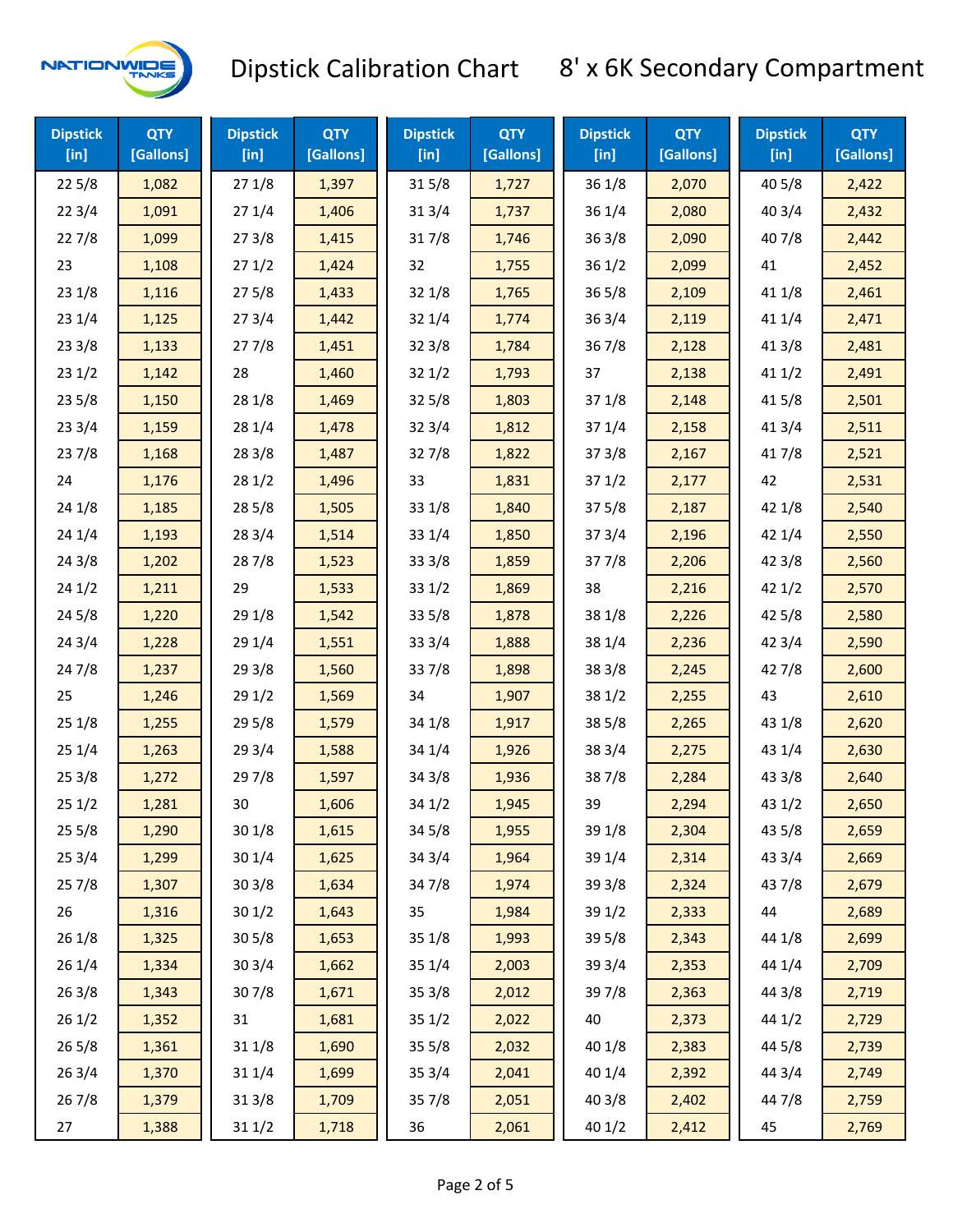

| <b>Dipstick</b><br>$[$ in] | <b>QTY</b><br>[Gallons] | <b>Dipstick</b><br>$[$ in] | <b>QTY</b><br>[Gallons] | <b>Dipstick</b><br>$[$ in] | <b>QTY</b><br>[Gallons] | <b>Dipstick</b><br>$[$ in] | <b>QTY</b><br>[Gallons] | <b>Dipstick</b><br>$[$ in] | <b>QTY</b><br>[Gallons] |
|----------------------------|-------------------------|----------------------------|-------------------------|----------------------------|-------------------------|----------------------------|-------------------------|----------------------------|-------------------------|
| 225/8                      | 1,082                   | 271/8                      | 1,397                   | 315/8                      | 1,727                   | 36 1/8                     | 2,070                   | 40 5/8                     | 2,422                   |
| 223/4                      | 1,091                   | 271/4                      | 1,406                   | 313/4                      | 1,737                   | 361/4                      | 2,080                   | 403/4                      | 2,432                   |
| 227/8                      | 1,099                   | 273/8                      | 1,415                   | 317/8                      | 1,746                   | 363/8                      | 2,090                   | 407/8                      | 2,442                   |
| 23                         | 1,108                   | 271/2                      | 1,424                   | 32                         | 1,755                   | 361/2                      | 2,099                   | 41                         | 2,452                   |
| 231/8                      | 1,116                   | 275/8                      | 1,433                   | 321/8                      | 1,765                   | $36\,5/8$                  | 2,109                   | 41 1/8                     | 2,461                   |
| 231/4                      | 1,125                   | 273/4                      | 1,442                   | 32 1/4                     | 1,774                   | 363/4                      | 2,119                   | 411/4                      | 2,471                   |
| 23 3/8                     | 1,133                   | 277/8                      | 1,451                   | 323/8                      | 1,784                   | 367/8                      | 2,128                   | 413/8                      | 2,481                   |
| 231/2                      | 1,142                   | 28                         | 1,460                   | 321/2                      | 1,793                   | 37                         | 2,138                   | 411/2                      | 2,491                   |
| 235/8                      | 1,150                   | 28 1/8                     | 1,469                   | 325/8                      | 1,803                   | 371/8                      | 2,148                   | 41 5/8                     | 2,501                   |
| 233/4                      | 1,159                   | 28 1/4                     | 1,478                   | 323/4                      | 1,812                   | 37 1/4                     | 2,158                   | 41 3/4                     | 2,511                   |
| 237/8                      | 1,168                   | 28 3/8                     | 1,487                   | 327/8                      | 1,822                   | 373/8                      | 2,167                   | 417/8                      | 2,521                   |
| 24                         | 1,176                   | 281/2                      | 1,496                   | 33                         | 1,831                   | 371/2                      | 2,177                   | 42                         | 2,531                   |
| 24 1/8                     | 1,185                   | 28 5/8                     | 1,505                   | 33 1/8                     | 1,840                   | 375/8                      | 2,187                   | 42 1/8                     | 2,540                   |
| 241/4                      | 1,193                   | 28 3/4                     | 1,514                   | 33 1/4                     | 1,850                   | 373/4                      | 2,196                   | 42 1/4                     | 2,550                   |
| 243/8                      | 1,202                   | 287/8                      | 1,523                   | 33 3/8                     | 1,859                   | 377/8                      | 2,206                   | 42 3/8                     | 2,560                   |
| 241/2                      | 1,211                   | 29                         | 1,533                   | 331/2                      | 1,869                   | 38                         | 2,216                   | 421/2                      | 2,570                   |
| 245/8                      | 1,220                   | 29 1/8                     | 1,542                   | 335/8                      | 1,878                   | 38 1/8                     | 2,226                   | 42 5/8                     | 2,580                   |
| 243/4                      | 1,228                   | 29 1/4                     | 1,551                   | 33 3/4                     | 1,888                   | 38 1/4                     | 2,236                   | 423/4                      | 2,590                   |
| 24 7/8                     | 1,237                   | 293/8                      | 1,560                   | 337/8                      | 1,898                   | 38 3/8                     | 2,245                   | 42 7/8                     | 2,600                   |
| 25                         | 1,246                   | 29 1/2                     | 1,569                   | 34                         | 1,907                   | 381/2                      | 2,255                   | 43                         | 2,610                   |
| 251/8                      | 1,255                   | 29 5/8                     | 1,579                   | 34 1/8                     | 1,917                   | 385/8                      | 2,265                   | 43 1/8                     | 2,620                   |
| 251/4                      | 1,263                   | 29 3/4                     | 1,588                   | 34 1/4                     | 1,926                   | 38 3/4                     | 2,275                   | 43 1/4                     | 2,630                   |
| 253/8                      | 1,272                   | 297/8                      | 1,597                   | 34 3/8                     | 1,936                   | 387/8                      | 2,284                   | 43 3/8                     | 2,640                   |
| 251/2                      | 1,281                   | 30                         | 1,606                   | 341/2                      | 1,945                   | 39                         | 2,294                   | 431/2                      | 2,650                   |
| 255/8                      | 1,290                   | 30 1/8                     | 1,615                   | 345/8                      | 1,955                   | 39 1/8                     | 2,304                   | 43 5/8                     | 2,659                   |
| 253/4                      | 1,299                   | 30 1/4                     | 1,625                   | 34 3/4                     | 1,964                   | 39 1/4                     | 2,314                   | 43 3/4                     | 2,669                   |
| 257/8                      | 1,307                   | 303/8                      | 1,634                   | 347/8                      | 1,974                   | 39 3/8                     | 2,324                   | 437/8                      | 2,679                   |
| 26                         | 1,316                   | 301/2                      | 1,643                   | 35                         | 1,984                   | 39 1/2                     | 2,333                   | 44                         | 2,689                   |
| 26 1/8                     | 1,325                   | 305/8                      | 1,653                   | 35 1/8                     | 1,993                   | 39 5/8                     | 2,343                   | 44 1/8                     | 2,699                   |
| 26 1/4                     | 1,334                   | 303/4                      | 1,662                   | 35 1/4                     | 2,003                   | 39 3/4                     | 2,353                   | 44 1/4                     | 2,709                   |
| 263/8                      | 1,343                   | 307/8                      | 1,671                   | 35 3/8                     | 2,012                   | 397/8                      | 2,363                   | 44 3/8                     | 2,719                   |
| 261/2                      | 1,352                   | 31                         | 1,681                   | 351/2                      | 2,022                   | 40                         | 2,373                   | 44 1/2                     | 2,729                   |
| 26 5/8                     | 1,361                   | 31 1/8                     | 1,690                   | 355/8                      | 2,032                   | 40 1/8                     | 2,383                   | 44 5/8                     | 2,739                   |
| 263/4                      | 1,370                   | 31 1/4                     | 1,699                   | 353/4                      | 2,041                   | 40 1/4                     | 2,392                   | 44 3/4                     | 2,749                   |
| 267/8                      | 1,379                   | 31 3/8                     | 1,709                   | 357/8                      | 2,051                   | 40 3/8                     | 2,402                   | 447/8                      | 2,759                   |
| 27                         | 1,388                   | 311/2                      | 1,718                   | 36                         | 2,061                   | 40 1/2                     | 2,412                   | 45                         | 2,769                   |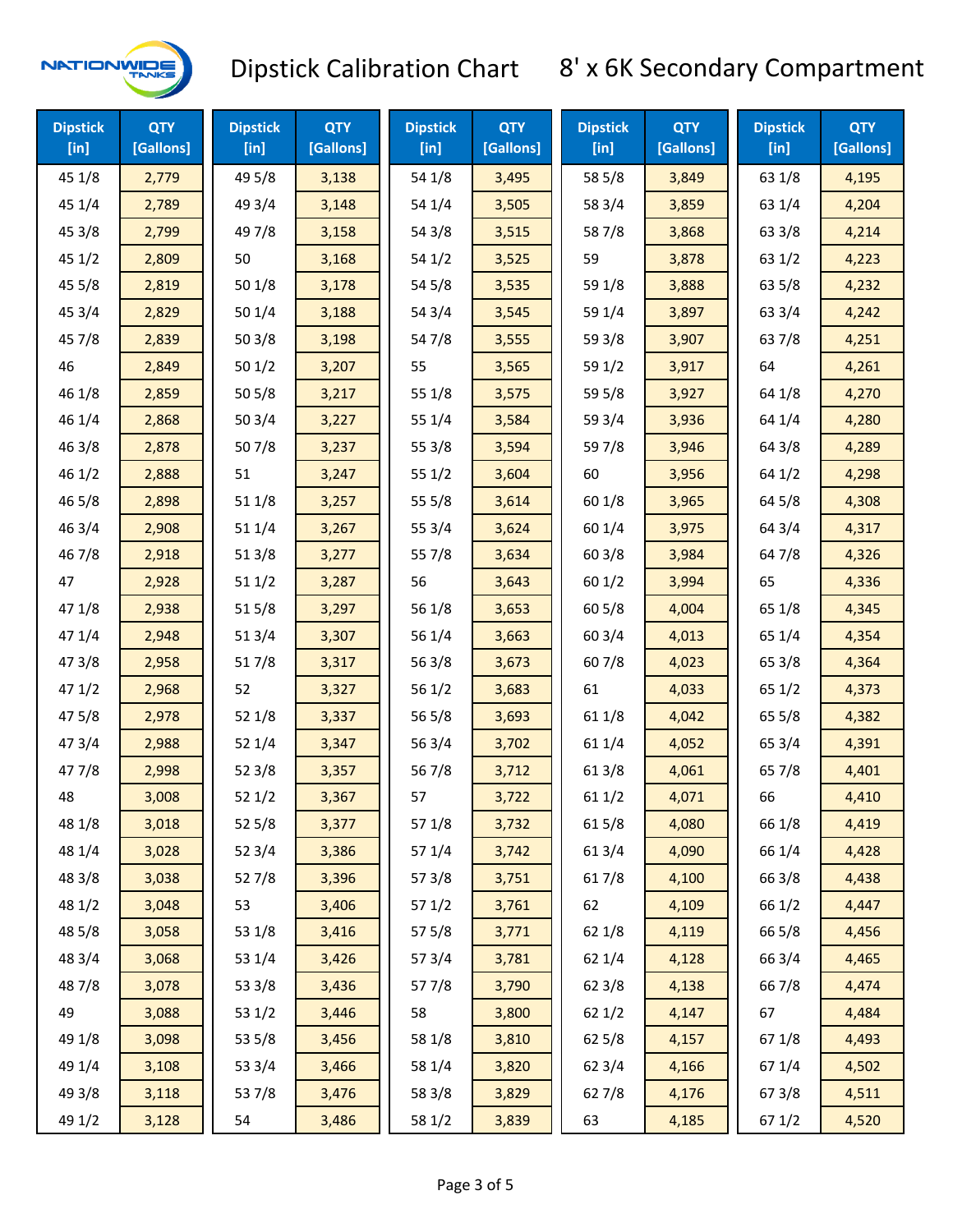

| <b>Dipstick</b><br>$[$ in] | <b>QTY</b><br>[Gallons] | <b>Dipstick</b><br>$[$ in] | <b>QTY</b><br>[Gallons] | <b>Dipstick</b><br>$[$ in] | <b>QTY</b><br>[Gallons] | <b>Dipstick</b><br>$[$ in] | <b>QTY</b><br>[Gallons] | <b>Dipstick</b><br>$[$ in] | <b>QTY</b><br>[Gallons] |
|----------------------------|-------------------------|----------------------------|-------------------------|----------------------------|-------------------------|----------------------------|-------------------------|----------------------------|-------------------------|
| 45 1/8                     | 2,779                   | 49 5/8                     | 3,138                   | 54 1/8                     | 3,495                   | 58 5/8                     | 3,849                   | 63 1/8                     | 4,195                   |
| 45 1/4                     | 2,789                   | 49 3/4                     | 3,148                   | 54 1/4                     | 3,505                   | 58 3/4                     | 3,859                   | 63 1/4                     | 4,204                   |
| 45 3/8                     | 2,799                   | 49 7/8                     | 3,158                   | 54 3/8                     | 3,515                   | 587/8                      | 3,868                   | 63 3/8                     | 4,214                   |
| 45 1/2                     | 2,809                   | 50                         | 3,168                   | 54 1/2                     | 3,525                   | 59                         | 3,878                   | 63 1/2                     | 4,223                   |
| 45 5/8                     | 2,819                   | 50 1/8                     | 3,178                   | 54 5/8                     | 3,535                   | 59 1/8                     | 3,888                   | 63 5/8                     | 4,232                   |
| 453/4                      | 2,829                   | 50 1/4                     | 3,188                   | 54 3/4                     | 3,545                   | 59 1/4                     | 3,897                   | 63 3/4                     | 4,242                   |
| 45 7/8                     | 2,839                   | 503/8                      | 3,198                   | 547/8                      | 3,555                   | 59 3/8                     | 3,907                   | 637/8                      | 4,251                   |
| 46                         | 2,849                   | 501/2                      | 3,207                   | 55                         | 3,565                   | 59 1/2                     | 3,917                   | 64                         | 4,261                   |
| 46 1/8                     | 2,859                   | 505/8                      | 3,217                   | 55 1/8                     | 3,575                   | 59 5/8                     | 3,927                   | 64 1/8                     | 4,270                   |
| 46 1/4                     | 2,868                   | 503/4                      | 3,227                   | 55 1/4                     | 3,584                   | 59 3/4                     | 3,936                   | 64 1/4                     | 4,280                   |
| 46 3/8                     | 2,878                   | 507/8                      | 3,237                   | 55 3/8                     | 3,594                   | 597/8                      | 3,946                   | 64 3/8                     | 4,289                   |
| 46 1/2                     | 2,888                   | 51                         | 3,247                   | 551/2                      | 3,604                   | 60                         | 3,956                   | 64 1/2                     | 4,298                   |
| 46 5/8                     | 2,898                   | 51 1/8                     | 3,257                   | 55 5/8                     | 3,614                   | 60 1/8                     | 3,965                   | 64 5/8                     | 4,308                   |
| 46 3/4                     | 2,908                   | 51 1/4                     | 3,267                   | 55 3/4                     | 3,624                   | 60 1/4                     | 3,975                   | 64 3/4                     | 4,317                   |
| 46 7/8                     | 2,918                   | 513/8                      | 3,277                   | 55 7/8                     | 3,634                   | 603/8                      | 3,984                   | 64 7/8                     | 4,326                   |
| 47                         | 2,928                   | 51 1/2                     | 3,287                   | 56                         | 3,643                   | 601/2                      | 3,994                   | 65                         | 4,336                   |
| 47 1/8                     | 2,938                   | 515/8                      | 3,297                   | 56 1/8                     | 3,653                   | 605/8                      | 4,004                   | 65 1/8                     | 4,345                   |
| 47 1/4                     | 2,948                   | 51 3/4                     | 3,307                   | 56 1/4                     | 3,663                   | 60 3/4                     | 4,013                   | 65 1/4                     | 4,354                   |
| 47 3/8                     | 2,958                   | 517/8                      | 3,317                   | 56 3/8                     | 3,673                   | 607/8                      | 4,023                   | 65 3/8                     | 4,364                   |
| 471/2                      | 2,968                   | 52                         | 3,327                   | 56 1/2                     | 3,683                   | 61                         | 4,033                   | 65 1/2                     | 4,373                   |
| 475/8                      | 2,978                   | 521/8                      | 3,337                   | 56 5/8                     | 3,693                   | 61 1/8                     | 4,042                   | 65 5/8                     | 4,382                   |
| 47 3/4                     | 2,988                   | 52 1/4                     | 3,347                   | 56 3/4                     | 3,702                   | 61 1/4                     | 4,052                   | 65 3/4                     | 4,391                   |
| 47 7/8                     | 2,998                   | 523/8                      | 3,357                   | 567/8                      | 3,712                   | 61 3/8                     | 4,061                   | 65 7/8                     | 4,401                   |
| 48                         | 3,008                   | 521/2                      | 3,367                   | 57                         | 3,722                   | 611/2                      | 4,071                   | 66                         | 4,410                   |
| 48 1/8                     | 3,018                   | 525/8                      | 3,377                   | 57 1/8                     | 3,732                   | 615/8                      | 4,080                   | 66 1/8                     | 4,419                   |
| 48 1/4                     | 3,028                   | 52 3/4                     | 3,386                   | 57 1/4                     | 3,742                   | 61 3/4                     | 4,090                   | 66 1/4                     | 4,428                   |
| 48 3/8                     | 3,038                   | 527/8                      | 3,396                   | 57 3/8                     | 3,751                   | 617/8                      | 4,100                   | 66 3/8                     | 4,438                   |
| 48 1/2                     | 3,048                   | 53                         | 3,406                   | 57 1/2                     | 3,761                   | 62                         | 4,109                   | 66 1/2                     | 4,447                   |
| 48 5/8                     | 3,058                   | 53 1/8                     | 3,416                   | 57 5/8                     | 3,771                   | 62 1/8                     | 4,119                   | 66 5/8                     | 4,456                   |
| 48 3/4                     | 3,068                   | 53 1/4                     | 3,426                   | 573/4                      | 3,781                   | 62 1/4                     | 4,128                   | 66 3/4                     | 4,465                   |
| 487/8                      | 3,078                   | 53 3/8                     | 3,436                   | 577/8                      | 3,790                   | 62 3/8                     | 4,138                   | 667/8                      | 4,474                   |
| 49                         | 3,088                   | 53 1/2                     | 3,446                   | 58                         | 3,800                   | 621/2                      | 4,147                   | 67                         | 4,484                   |
| 49 1/8                     | 3,098                   | 53 5/8                     | 3,456                   | 58 1/8                     | 3,810                   | $62\,5/8$                  | 4,157                   | 671/8                      | 4,493                   |
| 49 1/4                     | 3,108                   | 53 3/4                     | 3,466                   | 58 1/4                     | 3,820                   | 62 3/4                     | 4,166                   | 671/4                      | 4,502                   |
| 49 3/8                     | 3,118                   | 537/8                      | 3,476                   | 58 3/8                     | 3,829                   | 627/8                      | 4,176                   | 67 3/8                     | 4,511                   |
| 49 1/2                     | 3,128                   | 54                         | 3,486                   | 58 1/2                     | 3,839                   | 63                         | 4,185                   | 67 1/2                     | 4,520                   |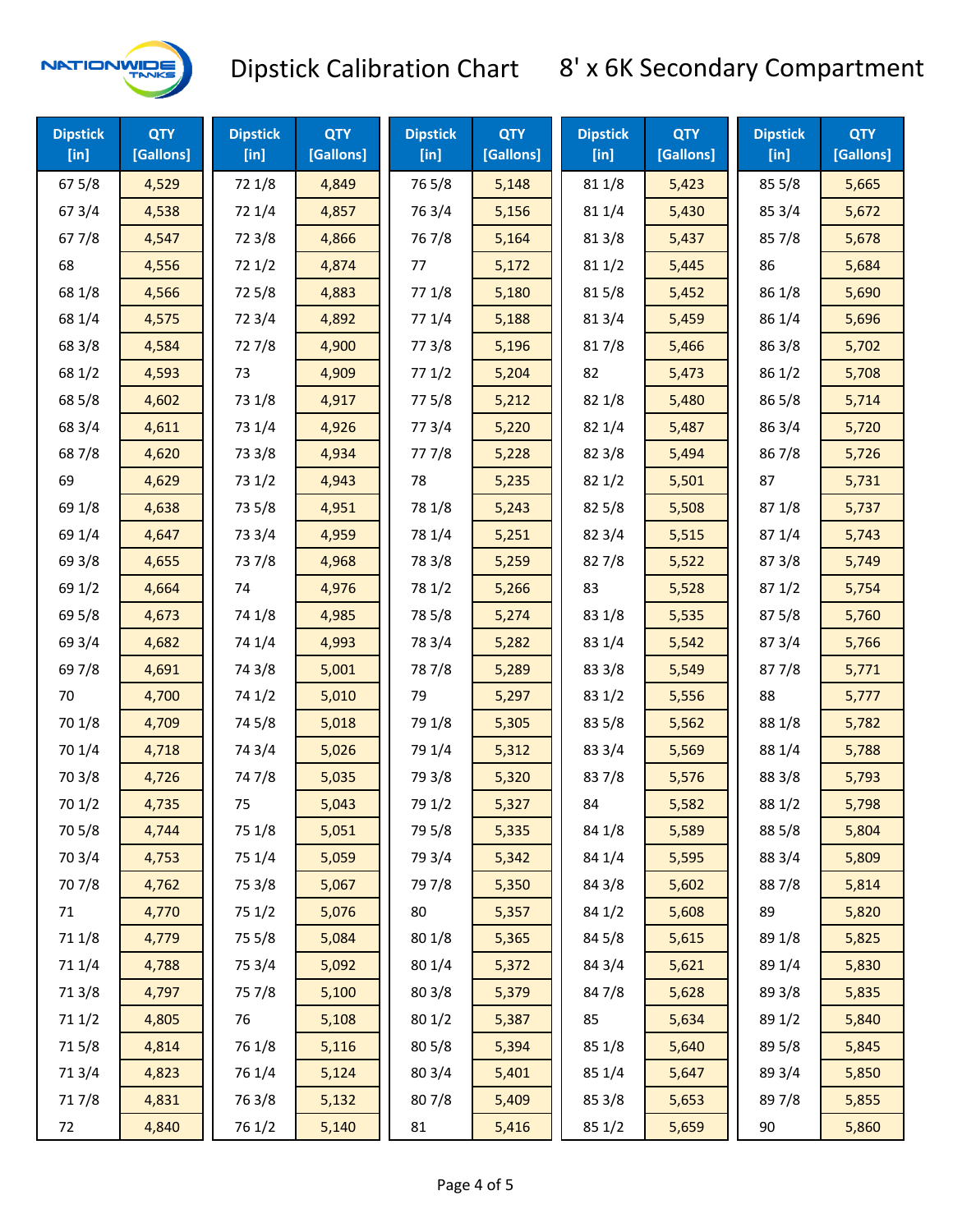

| <b>Dipstick</b><br>$[$ in] | <b>QTY</b><br>[Gallons] | <b>Dipstick</b><br>$[$ in] | <b>QTY</b><br>[Gallons] | <b>Dipstick</b><br>$[$ in] | <b>QTY</b><br>[Gallons] | <b>Dipstick</b><br>$[$ in] | <b>QTY</b><br>[Gallons] | <b>Dipstick</b><br>$[$ in] | <b>QTY</b><br>[Gallons] |
|----------------------------|-------------------------|----------------------------|-------------------------|----------------------------|-------------------------|----------------------------|-------------------------|----------------------------|-------------------------|
| 67 5/8                     | 4,529                   | 72 1/8                     | 4,849                   | 765/8                      | 5,148                   | 81 1/8                     | 5,423                   | 85 5/8                     | 5,665                   |
| 67 3/4                     | 4,538                   | 72 1/4                     | 4,857                   | 763/4                      | 5,156                   | 81 1/4                     | 5,430                   | 85 3/4                     | 5,672                   |
| 67 7/8                     | 4,547                   | 72 3/8                     | 4,866                   | 767/8                      | 5,164                   | 81 3/8                     | 5,437                   | 857/8                      | 5,678                   |
| 68                         | 4,556                   | 72 1/2                     | 4,874                   | 77                         | 5,172                   | 81 1/2                     | 5,445                   | 86                         | 5,684                   |
| 68 1/8                     | 4,566                   | 725/8                      | 4,883                   | 77 1/8                     | 5,180                   | 815/8                      | 5,452                   | 86 1/8                     | 5,690                   |
| 68 1/4                     | 4,575                   | 72 3/4                     | 4,892                   | 77 1/4                     | 5,188                   | 813/4                      | 5,459                   | 86 1/4                     | 5,696                   |
| 68 3/8                     | 4,584                   | 727/8                      | 4,900                   | 77 3/8                     | 5,196                   | 817/8                      | 5,466                   | 86 3/8                     | 5,702                   |
| 68 1/2                     | 4,593                   | 73                         | 4,909                   | 771/2                      | 5,204                   | 82                         | 5,473                   | 86 1/2                     | 5,708                   |
| 68 5/8                     | 4,602                   | 73 1/8                     | 4,917                   | 775/8                      | 5,212                   | 82 1/8                     | 5,480                   | 865/8                      | 5,714                   |
| 68 3/4                     | 4,611                   | 73 1/4                     | 4,926                   | 773/4                      | 5,220                   | 82 1/4                     | 5,487                   | 86 3/4                     | 5,720                   |
| 687/8                      | 4,620                   | 73 3/8                     | 4,934                   | 777/8                      | 5,228                   | 823/8                      | 5,494                   | 867/8                      | 5,726                   |
| 69                         | 4,629                   | 73 1/2                     | 4,943                   | 78                         | 5,235                   | 82 1/2                     | 5,501                   | 87                         | 5,731                   |
| 69 1/8                     | 4,638                   | 73 5/8                     | 4,951                   | 78 1/8                     | 5,243                   | 825/8                      | 5,508                   | 871/8                      | 5,737                   |
| 69 1/4                     | 4,647                   | 73 3/4                     | 4,959                   | 78 1/4                     | 5,251                   | 82 3/4                     | 5,515                   | 871/4                      | 5,743                   |
| 69 3/8                     | 4,655                   | 737/8                      | 4,968                   | 78 3/8                     | 5,259                   | 827/8                      | 5,522                   | 87 3/8                     | 5,749                   |
| 69 1/2                     | 4,664                   | 74                         | 4,976                   | 78 1/2                     | 5,266                   | 83                         | 5,528                   | 871/2                      | 5,754                   |
| 69 5/8                     | 4,673                   | 74 1/8                     | 4,985                   | 78 5/8                     | 5,274                   | 83 1/8                     | 5,535                   | 87 5/8                     | 5,760                   |
| 69 3/4                     | 4,682                   | 74 1/4                     | 4,993                   | 78 3/4                     | 5,282                   | 83 1/4                     | 5,542                   | 87 3/4                     | 5,766                   |
| 697/8                      | 4,691                   | 74 3/8                     | 5,001                   | 787/8                      | 5,289                   | 83 3/8                     | 5,549                   | 877/8                      | 5,771                   |
| 70                         | 4,700                   | 74 1/2                     | 5,010                   | 79                         | 5,297                   | 83 1/2                     | 5,556                   | 88                         | 5,777                   |
| 70 1/8                     | 4,709                   | 74 5/8                     | 5,018                   | 79 1/8                     | 5,305                   | 83 5/8                     | 5,562                   | 88 1/8                     | 5,782                   |
| 70 1/4                     | 4,718                   | 74 3/4                     | 5,026                   | 79 1/4                     | 5,312                   | 83 3/4                     | 5,569                   | 88 1/4                     | 5,788                   |
| 70 3/8                     | 4,726                   | 74 7/8                     | 5,035                   | 79 3/8                     | 5,320                   | 837/8                      | 5,576                   | 88 3/8                     | 5,793                   |
| 70 1/2                     | 4,735                   | 75                         | 5,043                   | 79 1/2                     | 5,327                   | 84                         | 5,582                   | 88 1/2                     | 5,798                   |
| 70 5/8                     | 4,744                   | 75 1/8                     | 5,051                   | 79 5/8                     | 5,335                   | 84 1/8                     | 5,589                   | 88 5/8                     | 5,804                   |
| 70 3/4                     | 4,753                   | 75 1/4                     | 5,059                   | 79 3/4                     | 5,342                   | 84 1/4                     | 5,595                   | 88 3/4                     | 5,809                   |
| 70 7/8                     | 4,762                   | 75 3/8                     | 5,067                   | 79 7/8                     | 5,350                   | 84 3/8                     | 5,602                   | 887/8                      | 5,814                   |
| 71                         | 4,770                   | 75 1/2                     | 5,076                   | 80                         | 5,357                   | 84 1/2                     | 5,608                   | 89                         | 5,820                   |
| 71 1/8                     | 4,779                   | 75 5/8                     | 5,084                   | 80 1/8                     | 5,365                   | 84 5/8                     | 5,615                   | 89 1/8                     | 5,825                   |
| 71 1/4                     | 4,788                   | 75 3/4                     | 5,092                   | 80 1/4                     | 5,372                   | 84 3/4                     | 5,621                   | 89 1/4                     | 5,830                   |
| 713/8                      | 4,797                   | 75 7/8                     | 5,100                   | 80 3/8                     | 5,379                   | 847/8                      | 5,628                   | 89 3/8                     | 5,835                   |
| 71 1/2                     | 4,805                   | 76                         | 5,108                   | 80 1/2                     | 5,387                   | 85                         | 5,634                   | 89 1/2                     | 5,840                   |
| 715/8                      | 4,814                   | 76 1/8                     | 5,116                   | 80 5/8                     | 5,394                   | 85 1/8                     | 5,640                   | 89 5/8                     | 5,845                   |
| 713/4                      | 4,823                   | 76 1/4                     | 5,124                   | 80 3/4                     | 5,401                   | 85 1/4                     | 5,647                   | 89 3/4                     | 5,850                   |
| 717/8                      | 4,831                   | 763/8                      | 5,132                   | 807/8                      | 5,409                   | 85 3/8                     | 5,653                   | 89 7/8                     | 5,855                   |
| 72                         | 4,840                   | 76 1/2                     | 5,140                   | 81                         | 5,416                   | 85 1/2                     | 5,659                   | 90                         | 5,860                   |